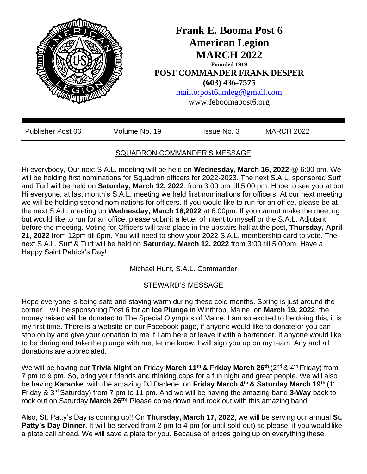

## SQUADRON COMMANDER'S MESSAGE

Hi everybody, Our next S.A.L. meeting will be held on **Wednesday, March 16, 2022** @ 6:00 pm. We will be holding first nominations for Squadron officers for 2022-2023. The next S.A.L. sponsored Surf and Turf will be held on **Saturday, March 12, 2022**, from 3:00 pm till 5:00 pm. Hope to see you at bot Hi everyone, at last month's S.A.L. meeting we held first nominations for officers. At our next meeting we will be holding second nominations for officers. If you would like to run for an office, please be at the next S.A.L. meeting on **Wednesday, March 16,2022** at 6:00pm. If you cannot make the meeting but would like to run for an office, please submit a letter of intent to myself or the S.A.L. Adjutant before the meeting. Voting for Officers will take place in the upstairs hall at the post, **Thursday, April 21, 2022** from 12pm till 6pm. You will need to show your 2022 S.A.L. membership card to vote. The next S.A.L. Surf & Turf will be held on **Saturday, March 12, 2022** from 3:00 till 5:00pm. Have a Happy Saint Patrick's Day!

Michael Hunt, S.A.L. Commander

### STEWARD'S MESSAGE

Hope everyone is being safe and staying warm during these cold months. Spring is just around the corner! I will be sponsoring Post 6 for an **Ice Plunge** in Winthrop, Maine, on **March 19, 2022**, the money raised will be donated to The Special Olympics of Maine. I am so excited to be doing this, it is my first time. There is a website on our Facebook page, if anyone would like to donate or you can stop on by and give your donation to me if I am here or leave it with a bartender. If anyone would like to be daring and take the plunge with me, let me know. I will sign you up on my team. Any and all donations are appreciated.

We will be having our **Trivia Night** on Friday **March 11th & Friday March 26th** (2nd & 4th Friday) from 7 pm to 9 pm. So, bring your friends and thinking caps for a fun night and great people. We will also be having **Karaoke**, with the amazing DJ Darlene, on **Friday March 4th & Saturday March 19th** (1st Friday & 3rd Saturday) from 7 pm to 11 pm. And we will be having the amazing band **3-Way** back to rock out on Saturday **March 26th**! Please come down and rock out with this amazing band.

Also, St. Patty's Day is coming up!! On **Thursday, March 17, 2022**, we will be serving our annual **St. Patty's Day Dinner.** It will be served from 2 pm to 4 pm (or until sold out) so please, if you would like a plate call ahead. We will save a plate for you. Because of prices going up on everything these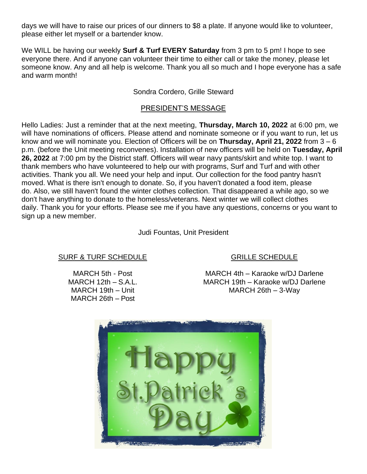days we will have to raise our prices of our dinners to \$8 a plate. If anyone would like to volunteer, please either let myself or a bartender know.

We WILL be having our weekly **Surf & Turf EVERY Saturday** from 3 pm to 5 pm! I hope to see everyone there. And if anyone can volunteer their time to either call or take the money, please let someone know. Any and all help is welcome. Thank you all so much and I hope everyone has a safe and warm month!

#### Sondra Cordero, Grille Steward

#### PRESIDENT'S MESSAGE

Hello Ladies: Just a reminder that at the next meeting, **Thursday, March 10, 2022** at 6:00 pm, we will have nominations of officers. Please attend and nominate someone or if you want to run, let us know and we will nominate you. Election of Officers will be on **Thursday, April 21, 2022** from 3 – 6 p.m. (before the Unit meeting reconvenes). Installation of new officers will be held on **Tuesday, April 26, 2022** at 7:00 pm by the District staff. Officers will wear navy pants/skirt and white top. I want to thank members who have volunteered to help our with programs, Surf and Turf and with other activities. Thank you all. We need your help and input. Our collection for the food pantry hasn't moved. What is there isn't enough to donate. So, if you haven't donated a food item, please do. Also, we still haven't found the winter clothes collection. That disappeared a while ago, so we don't have anything to donate to the homeless/veterans. Next winter we will collect clothes daily. Thank you for your efforts. Please see me if you have any questions, concerns or you want to sign up a new member.

Judi Fountas, Unit President

#### SURF & TURF SCHEDULE

MARCH 5th - Post MARCH 12th – S.A.L. MARCH 19th – Unit MARCH 26th – Post

# GRILLE SCHEDULE

MARCH 4th – Karaoke w/DJ Darlene MARCH 19th – Karaoke w/DJ Darlene MARCH 26th – 3-Way